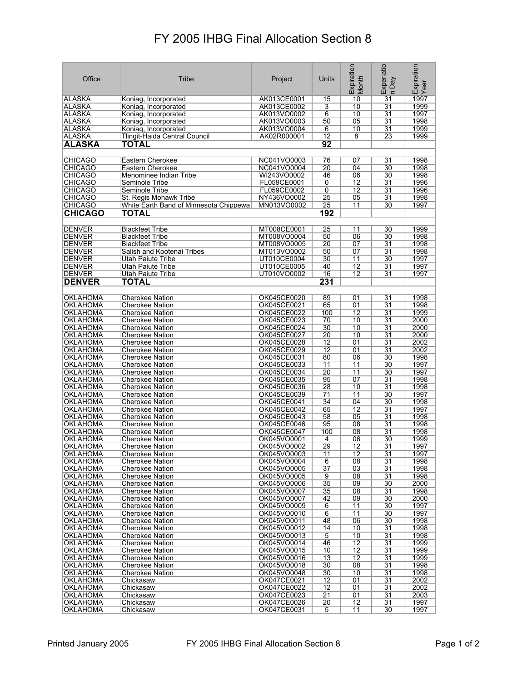## FY 2005 IHBG Final Allocation Section 8

| Office                             | Tribe                                            | Project                    | Units           | Expiration<br>Month | Experiatio<br>n Day   | Expiration<br>Year |
|------------------------------------|--------------------------------------------------|----------------------------|-----------------|---------------------|-----------------------|--------------------|
| ALASKA                             | Koniag, Incorporated                             | AK013CE0001                | 15              | 10                  | $\overline{31}$       | 1997               |
| <b>ALASKA</b>                      | Koniag, Incorporated                             | AK013CE0002                | 3               | 10                  | $\overline{31}$       | 1999               |
| <b>ALASKA</b>                      | Koniag, Incorporated                             | AK013VO0002                | 6               | 10                  | 31                    | 1997               |
| <b>ALASKA</b>                      | Koniag, Incorporated                             | AK013VO0003                | 50              | 05                  | $\overline{31}$       | 1998               |
| <b>ALASKA</b>                      | Koniag, Incorporated                             | AK013VO0004                | 6               | 10                  | $\overline{31}$       | 1999               |
| <b>ALASKA</b>                      | Tlingit-Haida Central Council                    | AK02R000001                | $\overline{12}$ | $\overline{8}$      | 23                    | 1999               |
| <b>ALASKA</b>                      | TOTAL                                            |                            | 92              |                     |                       |                    |
|                                    |                                                  |                            |                 |                     |                       |                    |
| <b>CHICAGO</b>                     | Eastern Cherokee                                 | NC041VO0003                | 76              | 07                  | $\overline{31}$       | 1998               |
| <b>CHICAGO</b>                     | Eastern Cherokee                                 | NC041VO0004                | $\overline{20}$ | 04                  | $\overline{30}$       | 1998               |
| <b>CHICAGO</b>                     | Menominee Indian Tribe                           | WI243VO0002                | 46              | 06                  | 30                    | 1998               |
| <b>CHICAGO</b>                     | Seminole Tribe                                   | FL059CE0001                | 0               | $\overline{12}$     | $\overline{31}$       | 1996               |
| <b>CHICAGO</b>                     | Seminole Tribe                                   | FL059CE0002                | 0               | 12                  | 31                    | 1996               |
| <b>CHICAGO</b>                     | St. Regis Mohawk Tribe                           | NY436VO0002                | 25              | 05                  | 31                    | 1998               |
| <b>CHICAGO</b>                     | White Earth Band of Minnesota Chippewa           | MN013VO0002                | 25              | 11                  | 30                    | 1997               |
| <b>CHICAGO</b>                     | TOTAL                                            |                            | 192             |                     |                       |                    |
|                                    |                                                  |                            |                 |                     |                       |                    |
| <b>DENVER</b>                      | <b>Blackfeet Tribe</b>                           | MT008CE0001                | 25              | 11                  | 30                    | 1999               |
| <b>DENVER</b>                      | <b>Blackfeet Tribe</b>                           | MT008VO0004                | 50              | 06                  | 30                    | 1998               |
| DENVER                             | <b>Blackfeet Tribe</b>                           | MT008VO0005                | 20              | 07                  | 31                    | 1998               |
| <b>DENVER</b>                      | Salish and Kootenai Tribes                       | MT013VO0002                | 50              | 07                  | 31                    | 1998               |
| <b>DENVER</b>                      | Utah Paiute Tribe                                | UT010CE0004                | 30              | 11                  | 30                    | 1997               |
| <b>DENVER</b>                      | Utah Paiute Tribe                                | UT010CE0005                | 40              | 12                  | 31                    | 1997               |
| <b>DENVER</b>                      | Utah Paiute Tribe                                | UT010VO0002                | 16              | 12                  | 31                    | 1997               |
| <b>DENVER</b>                      | <b>TOTAL</b>                                     |                            | 231             |                     |                       |                    |
|                                    |                                                  |                            |                 |                     |                       |                    |
| OKLAHOMA                           | <b>Cherokee Nation</b>                           | OK045CE0020                | 89              | 01                  | 31                    | 1998               |
| OKLAHOMA                           | <b>Cherokee Nation</b>                           | OK045CE0021                | 65              | 01                  | 31                    | 1998               |
| OKLAHOMA                           | <b>Cherokee Nation</b>                           | OK045CE0022                | 100             | 12                  | 31                    | 1999               |
| <b>OKLAHOMA</b>                    | <b>Cherokee Nation</b>                           | OK045CE0023                | 70              | 10                  | 31                    | 2000               |
| <b>OKLAHOMA</b>                    | <b>Cherokee Nation</b>                           | OK045CE0024                | 30              | 10                  | $\overline{31}$       | 2000               |
| OKLAHOMA                           | <b>Cherokee Nation</b>                           | OK045CE0027                | 20              | 10                  | $\overline{31}$       | 2000               |
| OKLAHOMA                           | Cherokee Nation                                  | OK045CE0028                | 12              | 01                  | $\overline{31}$       | 2002               |
| OKLAHOMA                           | Cherokee Nation                                  | OK045CE0029                | 12              | 01                  | 31                    | 2002               |
| <b>OKLAHOMA</b>                    | Cherokee Nation                                  | OK045CE0031                | 80              | 06                  | 30                    | 1998               |
| OKLAHOMA                           | Cherokee Nation                                  | OK045CE0033                | 11              | 11                  | 30                    | 1997               |
| <b>OKLAHOMA</b>                    | <b>Cherokee Nation</b>                           | OK045CE0034                | $\overline{20}$ | 11                  | 30                    | 1997               |
| <b>OKLAHOMA</b>                    | <b>Cherokee Nation</b>                           | OK045CE0035                | 95              | 07                  | 31                    | 1998               |
| <b>OKLAHOMA</b>                    | <b>Cherokee Nation</b>                           | OK045CE0036                | 28              | 10                  | $\overline{31}$       | 1998               |
| OKLAHOMA                           | <b>Cherokee Nation</b>                           | OK045CE0039                | 71              | $\overline{11}$     | 30                    | 1997               |
| OKLAHOMA                           | <b>Cherokee Nation</b>                           | OK045CE0041                | 34              | 04                  | 30                    | 1998               |
| <b>OKLAHOMA</b>                    | <b>Cherokee Nation</b>                           | OK045CE0042                | 65              | $\overline{12}$     | 31                    | 1997               |
| OKLAHOMA                           | Cherokee Nation                                  | OK045CE0043                | 58              | 05                  | 31                    | 1998               |
| OKLAHOMA                           | <b>Cherokee Nation</b>                           | OK045CE0046                | 95              | 08                  | 31                    | 1998               |
| <b>OKLAHOMA</b>                    | <b>Cherokee Nation</b>                           | OK045CE0047                | 100             | 08                  | $\overline{31}$       | 1998               |
| OKLAHOMA                           | <b>Cherokee Nation</b>                           | OK045VO0001                | 4<br>29         | 06                  | 30<br>$\overline{31}$ | 1999<br>1997       |
| <b>OKLAHOMA</b><br><b>OKLAHOMA</b> | <b>Cherokee Nation</b><br><b>Cherokee Nation</b> | OK045VO0002<br>OK045VO0003 | 11              | 12<br>12            | 31                    | 1997               |
| <b>OKLAHOMA</b>                    | Cherokee Nation                                  | OK045VO0004                | 6               | 08                  | $\overline{31}$       | 1998               |
| <b>OKLAHOMA</b>                    | Cherokee Nation                                  | OK045VO0005                | $\overline{37}$ | 03                  | 31                    | 1998               |
| <b>OKLAHOMA</b>                    | Cherokee Nation                                  | OK045VO0005                | 9               | 08                  | 31                    | 1998               |
| <b>OKLAHOMA</b>                    | Cherokee Nation                                  | OK045VO0006                | 35              | 09                  | 30                    | 2000               |
| <b>OKLAHOMA</b>                    | <b>Cherokee Nation</b>                           | OK045VO0007                | 35              | 08                  | 31                    | 1998               |
| <b>OKLAHOMA</b>                    | Cherokee Nation                                  | OK045VO0007                | 42              | 09                  | 30                    | 2000               |
| <b>OKLAHOMA</b>                    | Cherokee Nation                                  | OK045VO0009                | 6               | 11                  | 30                    | 1997               |
| <b>OKLAHOMA</b>                    | <b>Cherokee Nation</b>                           | OK045VO0010                | 6               | 11                  | 30                    | 1997               |
| <b>OKLAHOMA</b>                    | Cherokee Nation                                  | OK045VO0011                | 48              | 06                  | 30                    | 1998               |
| <b>OKLAHOMA</b>                    | Cherokee Nation                                  | OK045VO0012                | 14              | 10                  | 31                    | 1998               |
| <b>OKLAHOMA</b>                    | <b>Cherokee Nation</b>                           | OK045VO0013                | 5               | 10                  | 31                    | 1998               |
| <b>OKLAHOMA</b>                    | Cherokee Nation                                  | OK045VO0014                | 46              | 12                  | 31                    | 1999               |
| <b>OKLAHOMA</b>                    | Cherokee Nation                                  | OK045VO0015                | 10              | 12                  | 31                    | 1999               |
| <b>OKLAHOMA</b>                    | Cherokee Nation                                  | OK045VO0016                | 13              | $\overline{12}$     | $\overline{31}$       | 1999               |
| <b>OKLAHOMA</b>                    | Cherokee Nation                                  | OK045VO0018                | 30              | 08                  | 31                    | 1998               |
| <b>OKLAHOMA</b>                    | Cherokee Nation                                  | OK045VO0048                | 30              | 10                  | 31                    | 1998               |
| <b>OKLAHOMA</b>                    | Chickasaw                                        | OK047CE0021                | 12              | 01                  | $\overline{31}$       | 2002               |
| <b>OKLAHOMA</b>                    | Chickasaw                                        | OK047CE0022                | $\overline{12}$ | 01                  | $\overline{31}$       | 2002               |
| <b>OKLAHOMA</b>                    | Chickasaw                                        | OK047CE0023                | $\overline{21}$ | 01                  | 31                    | 2003               |
| <b>OKLAHOMA</b>                    | Chickasaw                                        | OK047CE0026                | 20              | 12                  | 31                    | 1997               |
| <b>OKLAHOMA</b>                    | Chickasaw                                        | OK047CE0031                | 5               | 11                  | 30                    | 1997               |